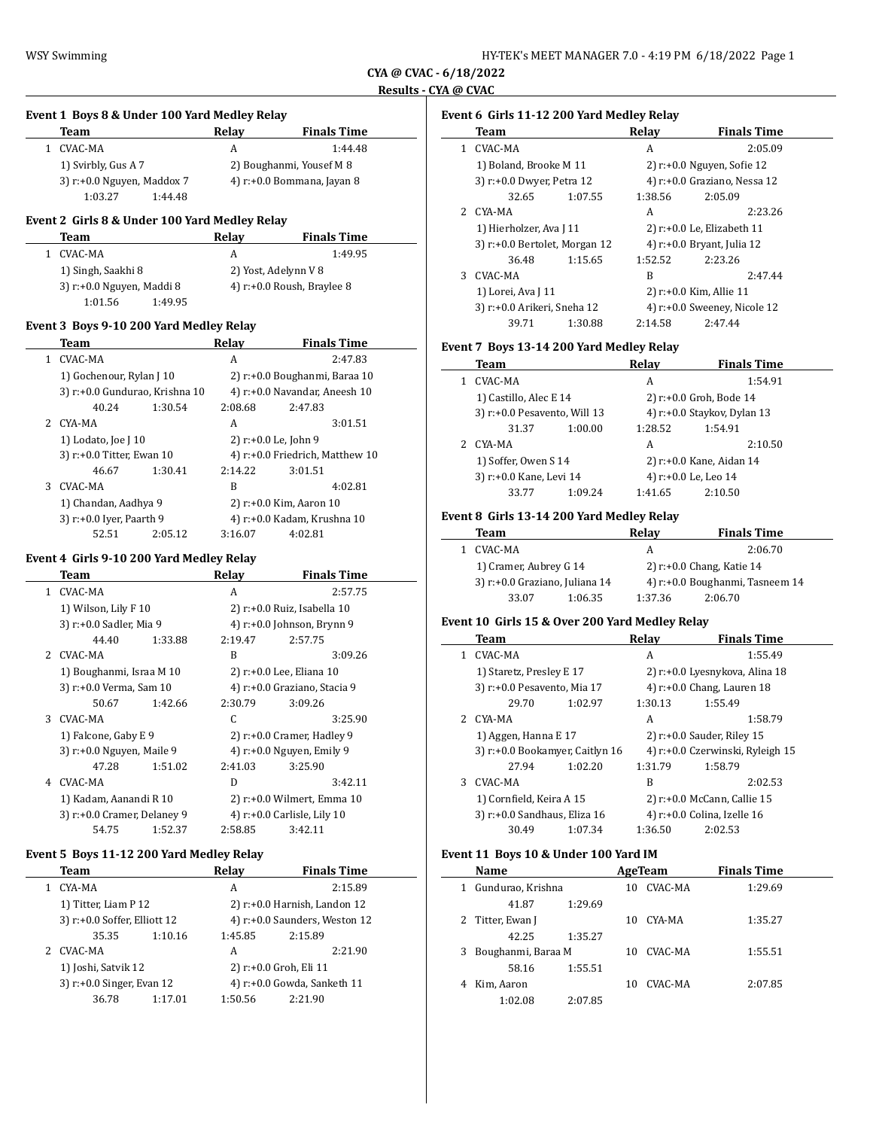## **CYA @ CVAC - 6/18/2022 Results - CYA @ CVAC**

# **Event 1 Boys 8 & Under 100 Yard Medley Relay Team Relay Finals Time** 1 CVAC-MA A 1:44.48 1) Svirbly, Gus A 7 2) Boughanmi, Yousef M 8 3)  $r: +0.0$  Nguyen, Maddox 7  $4)$   $r: +0.0$  Bommana, Jayan 8 1:03.27 1:44.48 **Event 2 Girls 8 & Under 100 Yard Medley Relay Team Relay Finals Time** 1 CVAC-MA A 1:49.95 1) Singh, Saakhi 8 2) Yost, Adelynn V 8 3)  $r: +0.0$  Nguyen, Maddi 8  $\qquad \qquad$  4)  $r: +0.0$  Roush, Braylee 8 1:01.56 1:49.95 **Event 3 Boys 9-10 200 Yard Medley Relay Team Relay Finals Time** 1 CVAC-MA A 2:47.83 1) Gochenour, Rylan J 10 2) r:+0.0 Boughanmi, Baraa 10 3) r:+0.0 Gundurao, Krishna 10  $4$ ) r:+0.0 Navandar, Aneesh 10 40.24 1:30.54 2:08.68 2:47.83 2 CYA-MA A 3:01.51 1) Lodato, Joe J 10 2) r:+0.0 Le, John 9 3) r:+0.0 Titter, Ewan 10  $4$ ) r:+0.0 Friedrich, Matthew 10 46.67 1:30.41 2:14.22 3:01.51 3 CVAC-MA B 4:02.81 1) Chandan, Aadhya 9 2) r:+0.0 Kim, Aaron 10 3) r:+0.0 Iyer, Paarth 9 4) r:+0.0 Kadam, Krushna 10 52.51 2:05.12 3:16.07 4:02.81 **Event 4 Girls 9-10 200 Yard Medley Relay Team Relay Finals Time** 1 CVAC-MA A 2:57.75 1) Wilson, Lily F 10 2) r:+0.0 Ruiz, Isabella 10 3) r:+0.0 Sadler, Mia 9 4) r:+0.0 Johnson, Brynn 9 44.40 1:33.88 2:19.47 2:57.75 2 CVAC-MA B 3:09.26 1) Boughanmi, Israa M 10 2) r:+0.0 Lee, Eliana 10 3) r:+0.0 Verma, Sam 10 4) r:+0.0 Graziano, Stacia 9 50.67 1:42.66 2:30.79 3:09.26 3 CVAC-MA C 3:25.90 1) Falcone, Gaby E 9 2) r:+0.0 Cramer, Hadley 9 3) r:+0.0 Nguyen, Maile 9 4) r:+0.0 Nguyen, Emily 9 47.28 1:51.02 2:41.03 3:25.90 4 CVAC-MA D 3:42.11 1) Kadam, Aanandi R 10 2) r:+0.0 Wilmert, Emma 10 3)  $r.+0.0$  Cramer, Delaney 9  $4)$   $r.+0.0$  Carlisle, Lily 10 54.75 1:52.37 2:58.85 3:42.11

## **Event 5 Boys 11-12 200 Yard Medley Relay**

|  | Team                                                 |         | Relav                             | <b>Finals Time</b>            |  |  |
|--|------------------------------------------------------|---------|-----------------------------------|-------------------------------|--|--|
|  | CYA-MA                                               |         | A                                 | 2:15.89                       |  |  |
|  | 1) Titter, Liam P 12<br>3) r:+0.0 Soffer, Elliott 12 |         | $2)$ r: $+0.0$ Harnish, Landon 12 |                               |  |  |
|  |                                                      |         |                                   | 4) r:+0.0 Saunders, Weston 12 |  |  |
|  | 35.35                                                | 1:10.16 | 1:45.85                           | 2:15.89                       |  |  |
|  | CVAC-MA                                              |         | A                                 | 2:21.90                       |  |  |
|  | 1) Joshi, Satvik 12<br>3) r:+0.0 Singer, Evan 12     |         |                                   | 2) r:+0.0 Groh, Eli 11        |  |  |
|  |                                                      |         |                                   | 4) r:+0.0 Gowda, Sanketh 11   |  |  |
|  | 36.78                                                | 1:17.01 | 1:50.56                           | 2.21.90                       |  |  |

## **Event 6 Girls 11-12 200 Yard Medley Relay**

|    | <b>Team</b>                         |         | Relav   | <b>Finals Time</b>           |  |
|----|-------------------------------------|---------|---------|------------------------------|--|
|    | CVAC-MA                             |         | A       | 2:05.09                      |  |
|    | 1) Boland, Brooke M 11              |         |         | $2)$ r:+0.0 Nguyen, Sofie 12 |  |
|    | 3) r:+0.0 Dwyer, Petra 12           |         |         | 4) r:+0.0 Graziano, Nessa 12 |  |
|    | 32.65                               | 1:07.55 | 1:38.56 | 2:05.09                      |  |
| 2  | CYA-MA                              |         | A       | 2:23.26                      |  |
|    | 1) Hierholzer, Ava J 11             |         |         | 2) r:+0.0 Le, Elizabeth 11   |  |
|    | $3$ ) r: $+0.0$ Bertolet, Morgan 12 |         |         | 4) r:+0.0 Bryant, Julia 12   |  |
|    | 36.48                               | 1:15.65 | 1:52.52 | 2:23.26                      |  |
| 3. | CVAC-MA                             |         | B       | 2:47.44                      |  |
|    | 1) Lorei, Ava J 11                  |         |         | 2) r:+0.0 Kim, Allie 11      |  |
|    | 3) r:+0.0 Arikeri, Sneha 12         |         |         | 4) r:+0.0 Sweeney, Nicole 12 |  |
|    | 39.71                               | 1:30.88 | 2:14.58 | 2:47.44                      |  |

#### **Event 7 Boys 13-14 200 Yard Medley Relay**

|  | Team                                                   |         | Relay                | <b>Finals Time</b>          |  |
|--|--------------------------------------------------------|---------|----------------------|-----------------------------|--|
|  | CVAC-MA                                                |         | A                    | 1:54.91                     |  |
|  | 1) Castillo, Alec E 14<br>3) r:+0.0 Pesavento, Will 13 |         |                      | 2) r:+0.0 Groh, Bode 14     |  |
|  |                                                        |         |                      | 4) r:+0.0 Staykov, Dylan 13 |  |
|  | 31.37                                                  | 1:00.00 | 1:28.52              | 1:54.91                     |  |
|  | CYA-MA                                                 |         | A                    | 2:10.50                     |  |
|  | 1) Soffer, Owen S 14<br>3) r:+0.0 Kane, Levi 14        |         |                      | 2) r:+0.0 Kane, Aidan 14    |  |
|  |                                                        |         | 4) r:+0.0 Le, Leo 14 |                             |  |
|  | 33.77                                                  | 1:09.24 | 1:41.65              | 2:10.50                     |  |

#### **Event 8 Girls 13-14 200 Yard Medley Relay**

|    | Team                           |         | Relav                        | <b>Finals Time</b>              |  |
|----|--------------------------------|---------|------------------------------|---------------------------------|--|
| 1. | CVAC-MA                        |         | A                            | 2:06.70                         |  |
|    | 1) Cramer, Aubrey G 14         |         | 2) $r$ :+0.0 Chang, Katie 14 |                                 |  |
|    | 3) r:+0.0 Graziano, Juliana 14 |         |                              | 4) r:+0.0 Boughanmi, Tasneem 14 |  |
|    | 33.07                          | 1:06.35 | 1:37.36                      | 2:06.70                         |  |

#### **Event 10 Girls 15 & Over 200 Yard Medley Relay**

|    | Team                            |         | Relav                       | <b>Finals Time</b>               |
|----|---------------------------------|---------|-----------------------------|----------------------------------|
| 1. | CVAC-MA                         |         | A                           | 1:55.49                          |
|    | 1) Staretz, Presley E 17        |         |                             | 2) r:+0.0 Lyesnykova, Alina 18   |
|    | 3) r:+0.0 Pesavento, Mia 17     |         |                             | 4) $r: +0.0$ Chang, Lauren 18    |
|    | 29.70                           | 1:02.97 | 1:30.13                     | 1:55.49                          |
| 2. | CYA-MA                          |         | A                           | 1:58.79                          |
|    | 1) Aggen, Hanna E 17            |         |                             | 2) r:+0.0 Sauder, Riley 15       |
|    | 3) r:+0.0 Bookamyer, Caitlyn 16 |         |                             | 4) r:+0.0 Czerwinski, Ryleigh 15 |
|    | 27.94                           | 1:02.20 | 1:31.79                     | 1:58.79                          |
| 3  | CVAC-MA                         |         | R                           | 2:02.53                          |
|    | 1) Cornfield, Keira A 15        |         | 2) r:+0.0 McCann, Callie 15 |                                  |
|    | 3) r:+0.0 Sandhaus, Eliza 16    |         |                             | 4) $r$ :+0.0 Colina, Izelle 16   |
|    | 30.49                           | 1:07.34 | 1:36.50                     | 2:02.53                          |

## **Event 11 Boys 10 & Under 100 Yard IM**

|   | Name               |         | AgeTeam |         | <b>Finals Time</b> |         |
|---|--------------------|---------|---------|---------|--------------------|---------|
| 1 | Gundurao, Krishna  |         | 10      | CVAC-MA |                    | 1:29.69 |
|   | 41.87              | 1:29.69 |         |         |                    |         |
| 2 | Titter, Ewan J     |         | 10      | CYA-MA  |                    | 1:35.27 |
|   | 42.25              | 1:35.27 |         |         |                    |         |
| 3 | Boughanmi, Baraa M |         | 10      | CVAC-MA |                    | 1:55.51 |
|   | 58.16              | 1:55.51 |         |         |                    |         |
| 4 | Kim, Aaron         |         | 10      | CVAC-MA |                    | 2:07.85 |
|   | 1:02.08            | 2:07.85 |         |         |                    |         |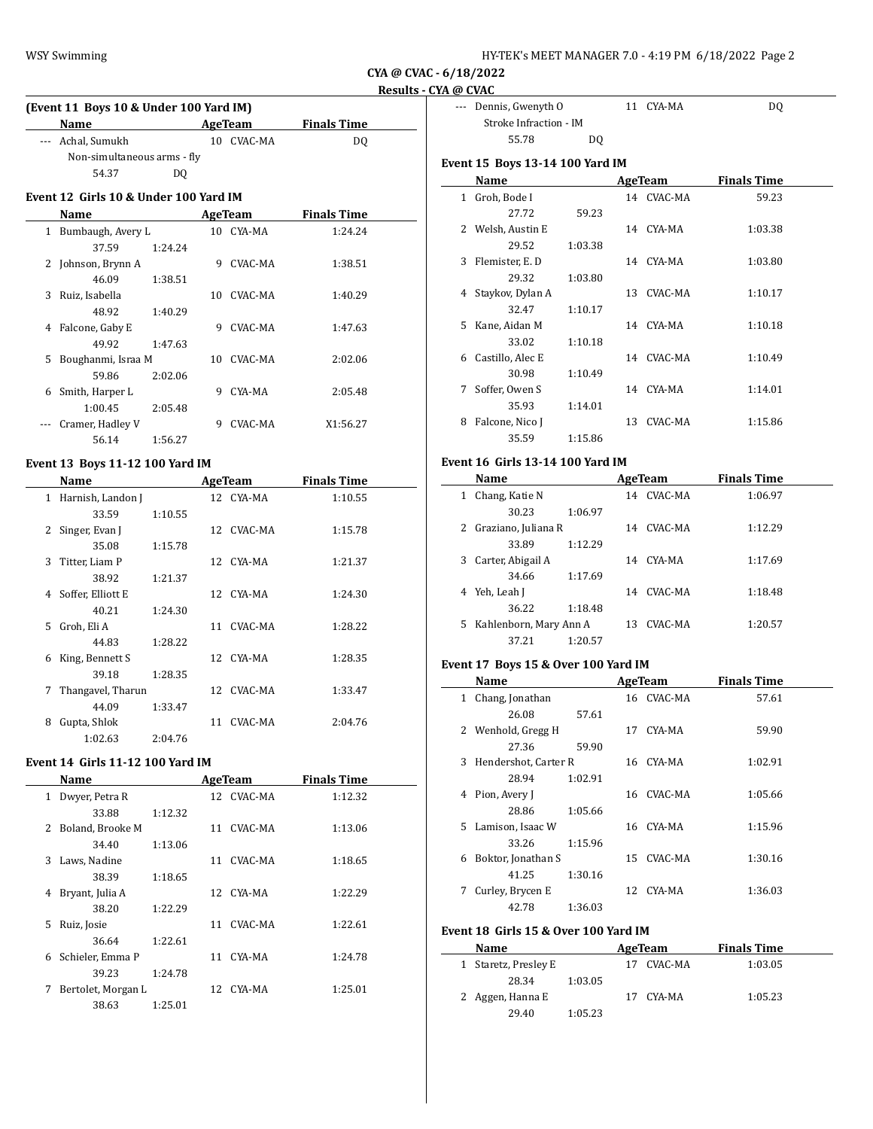**CYA @ CVAC - 6/18/2022**

# **Results - CYA @ CVAC**

| (Event 11 Boys 10 & Under 100 Yard IM) |            |                    |  |  |  |  |  |
|----------------------------------------|------------|--------------------|--|--|--|--|--|
| Name                                   | AgeTeam    | <b>Finals Time</b> |  |  |  |  |  |
| --- Achal, Sumukh                      | 10 CVAC-MA | DO.                |  |  |  |  |  |
| Non-simultaneous arms - fly            |            |                    |  |  |  |  |  |
| 54.37<br>DO                            |            |                    |  |  |  |  |  |

# **Event 12 Girls 10 & Under 100 Yard IM**

|              | Name               |         |     | AgeTeam   | <b>Finals Time</b> |  |
|--------------|--------------------|---------|-----|-----------|--------------------|--|
| $\mathbf{1}$ | Bumbaugh, Avery L  |         |     | 10 CYA-MA | 1:24.24            |  |
|              | 37.59              | 1:24.24 |     |           |                    |  |
|              | 2 Johnson, Brynn A |         | 9   | CVAC-MA   | 1:38.51            |  |
|              | 46.09              | 1:38.51 |     |           |                    |  |
| 3            | Ruiz, Isabella     |         | 10. | CVAC-MA   | 1:40.29            |  |
|              | 48.92              | 1:40.29 |     |           |                    |  |
| 4            | Falcone, Gaby E    |         | 9   | CVAC-MA   | 1:47.63            |  |
|              | 49.92              | 1:47.63 |     |           |                    |  |
| 5.           | Boughanmi, Israa M |         | 10  | CVAC-MA   | 2:02.06            |  |
|              | 59.86              | 2:02.06 |     |           |                    |  |
| 6            | Smith, Harper L    |         | 9   | CYA-MA    | 2:05.48            |  |
|              | 1:00.45            | 2:05.48 |     |           |                    |  |
|              | Cramer, Hadley V   |         | 9   | CVAC-MA   | X1:56.27           |  |
|              | 56.14              | 1:56.27 |     |           |                    |  |

## **Event 13 Boys 11-12 100 Yard IM**

|              | Name                   |         |    | AgeTeam    | <b>Finals Time</b> |
|--------------|------------------------|---------|----|------------|--------------------|
| $\mathbf{1}$ | Harnish, Landon J      |         |    | 12 CYA-MA  | 1:10.55            |
|              | 33.59                  | 1:10.55 |    |            |                    |
| 2            | Singer, Evan J         |         |    | 12 CVAC-MA | 1:15.78            |
|              | 35.08                  | 1:15.78 |    |            |                    |
| 3            | Titter, Liam P         |         |    | 12 CYA-MA  | 1:21.37            |
|              | 38.92                  | 1:21.37 |    |            |                    |
|              | Soffer, Elliott E<br>4 |         |    | 12 CYA-MA  | 1:24.30            |
|              | 40.21                  | 1:24.30 |    |            |                    |
| 5.           | Groh, Eli A            |         |    | 11 CVAC-MA | 1:28.22            |
|              | 44.83                  | 1:28.22 |    |            |                    |
| 6            | King, Bennett S        |         |    | 12 CYA-MA  | 1:28.35            |
|              | 39.18                  | 1:28.35 |    |            |                    |
| 7            | Thangavel, Tharun      |         |    | 12 CVAC-MA | 1:33.47            |
|              | 44.09                  | 1:33.47 |    |            |                    |
| 8            | Gupta, Shlok           |         | 11 | CVAC-MA    | 2:04.76            |
|              | 1:02.63                | 2:04.76 |    |            |                    |

# **Event 14 Girls 11-12 100 Yard IM**

|    | Name               |         |    | <b>AgeTeam</b> | <b>Finals Time</b> |  |
|----|--------------------|---------|----|----------------|--------------------|--|
| 1  | Dwyer, Petra R     |         |    | 12 CVAC-MA     | 1:12.32            |  |
|    | 33.88              | 1:12.32 |    |                |                    |  |
|    | 2 Boland, Brooke M |         | 11 | CVAC-MA        | 1:13.06            |  |
|    | 34.40              | 1:13.06 |    |                |                    |  |
|    | 3 Laws, Nadine     |         | 11 | CVAC-MA        | 1:18.65            |  |
|    | 38.39              | 1:18.65 |    |                |                    |  |
| 4  | Bryant, Julia A    |         | 12 | CYA-MA         | 1:22.29            |  |
|    | 38.20              | 1:22.29 |    |                |                    |  |
| 5. | Ruiz, Josie        |         | 11 | CVAC-MA        | 1:22.61            |  |
|    | 36.64              | 1:22.61 |    |                |                    |  |
| 6  | Schieler, Emma P   |         | 11 | CYA-MA         | 1:24.78            |  |
|    | 39.23              | 1:24.78 |    |                |                    |  |
| 7  | Bertolet, Morgan L |         | 12 | CYA-MA         | 1:25.01            |  |
|    | 38.63              | 1:25.01 |    |                |                    |  |
|    |                    |         |    |                |                    |  |

| --- Dennis, Gwenyth O  |    | 11 CYA-MA | D0 |
|------------------------|----|-----------|----|
| Stroke Infraction - IM |    |           |    |
| 55.78                  | DO |           |    |

## **Event 15 Boys 13-14 100 Yard IM**

|    | Name              |         |    | AgeTeam    | <b>Finals Time</b> |
|----|-------------------|---------|----|------------|--------------------|
| 1  | Groh, Bode I      |         |    | 14 CVAC-MA | 59.23              |
|    | 27.72             | 59.23   |    |            |                    |
|    | 2 Welsh, Austin E |         |    | 14 CYA-MA  | 1:03.38            |
|    | 29.52             | 1:03.38 |    |            |                    |
| 3  | Flemister, E. D   |         |    | 14 CYA-MA  | 1:03.80            |
|    | 29.32             | 1:03.80 |    |            |                    |
| 4  | Staykov, Dylan A  |         | 13 | CVAC-MA    | 1:10.17            |
|    | 32.47             | 1:10.17 |    |            |                    |
| 5. | Kane, Aidan M     |         |    | 14 CYA-MA  | 1:10.18            |
|    | 33.02             | 1:10.18 |    |            |                    |
| 6  | Castillo, Alec E  |         |    | 14 CVAC-MA | 1:10.49            |
|    | 30.98             | 1:10.49 |    |            |                    |
| 7  | Soffer, Owen S    |         |    | 14 CYA-MA  | 1:14.01            |
|    | 35.93             | 1:14.01 |    |            |                    |
| 8  | Falcone, Nico J   |         | 13 | CVAC-MA    | 1:15.86            |
|    | 35.59             | 1:15.86 |    |            |                    |

## **Event 16 Girls 13-14 100 Yard IM**

| Name                         |         |    | AgeTeam    | <b>Finals Time</b> |  |
|------------------------------|---------|----|------------|--------------------|--|
| Chang, Katie N<br>1          |         |    | 14 CVAC-MA | 1:06.97            |  |
| 30.23                        | 1:06.97 |    |            |                    |  |
| 2 Graziano, Juliana R        |         | 14 | CVAC-MA    | 1:12.29            |  |
| 33.89                        | 1:12.29 |    |            |                    |  |
| Carter, Abigail A<br>3.      |         | 14 | CYA-MA     | 1:17.69            |  |
| 34.66                        | 1:17.69 |    |            |                    |  |
| Yeh, Leah J<br>4             |         | 14 | CVAC-MA    | 1:18.48            |  |
| 36.22                        | 1:18.48 |    |            |                    |  |
| Kahlenborn, Mary Ann A<br>5. |         |    | 13 CVAC-MA | 1:20.57            |  |
| 37.21                        | 1:20.57 |    |            |                    |  |

## **Event 17 Boys 15 & Over 100 Yard IM**

|   | Name                   |         |    | AgeTeam    | <b>Finals Time</b> |  |
|---|------------------------|---------|----|------------|--------------------|--|
| 1 | Chang, Jonathan        |         |    | 16 CVAC-MA | 57.61              |  |
|   | 26.08                  | 57.61   |    |            |                    |  |
|   | 2 Wenhold, Gregg H     |         | 17 | CYA-MA     | 59.90              |  |
|   | 27.36                  | 59.90   |    |            |                    |  |
|   | 3 Hendershot, Carter R |         |    | 16 CYA-MA  | 1:02.91            |  |
|   | 28.94                  | 1:02.91 |    |            |                    |  |
| 4 | Pion, Avery J          |         |    | 16 CVAC-MA | 1:05.66            |  |
|   | 28.86                  | 1:05.66 |    |            |                    |  |
|   | 5 Lamison, Isaac W     |         |    | 16 CYA-MA  | 1:15.96            |  |
|   | 33.26                  | 1:15.96 |    |            |                    |  |
| 6 | Boktor, Jonathan S     |         |    | 15 CVAC-MA | 1:30.16            |  |
|   | 41.25                  | 1:30.16 |    |            |                    |  |
| 7 | Curley, Brycen E       |         |    | 12 CYA-MA  | 1:36.03            |  |
|   | 42.78                  | 1:36.03 |    |            |                    |  |

## **Event 18 Girls 15 & Over 100 Yard IM**

| Name                 | AgeTeam    | <b>Finals Time</b> |
|----------------------|------------|--------------------|
| 1 Staretz, Presley E | 17 CVAC-MA | 1:03.05            |
| 28.34<br>1:03.05     |            |                    |
| 2 Aggen, Hanna E     | 17 CYA-MA  | 1:05.23            |
| 1:05.23<br>29.40     |            |                    |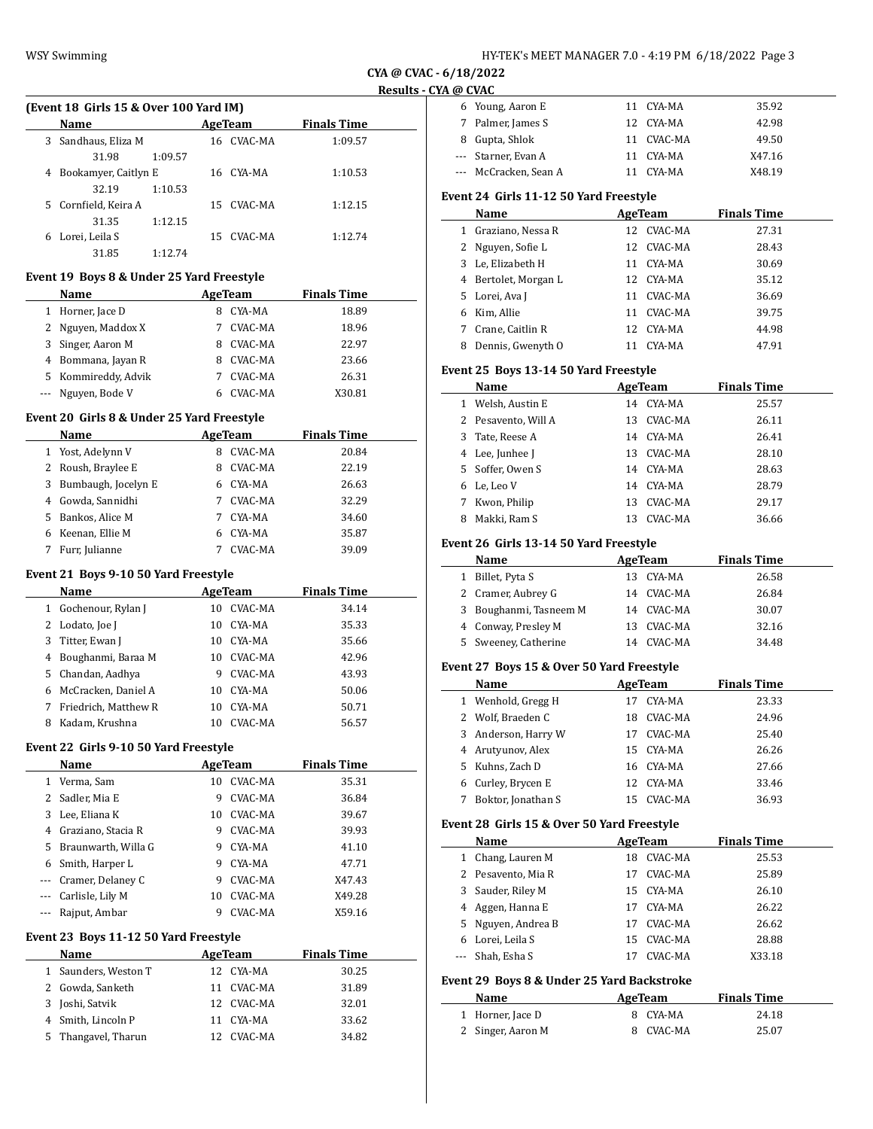| HY-TEK's MEET MANAGER 7.0 - 4:19 PM 6/18/2022 Page 3 |  |  |
|------------------------------------------------------|--|--|
|------------------------------------------------------|--|--|

Young, Aaron E 11 CYA-MA 35.92

**CYA @ CVAC - 6/18/2022 Results - CYA @ CVAC**

|    | (Event 18 Girls 15 & Over 100 Yard IM) |         |    |            |                    |  |
|----|----------------------------------------|---------|----|------------|--------------------|--|
|    | Name                                   |         |    | AgeTeam    | <b>Finals Time</b> |  |
| 3. | Sandhaus, Eliza M                      |         | 16 | CVAC-MA    | 1:09.57            |  |
|    | 31.98                                  | 1:09.57 |    |            |                    |  |
| 4  | Bookamyer, Caitlyn E                   |         |    | 16 CYA-MA  | 1:10.53            |  |
|    | 32.19                                  | 1:10.53 |    |            |                    |  |
| 5. | Cornfield, Keira A                     |         |    | 15 CVAC-MA | 1:12.15            |  |
|    | 31.35                                  | 1:12.15 |    |            |                    |  |
| 6  | Lorei, Leila S                         |         | 15 | CVAC-MA    | 1:12.74            |  |
|    | 31.85                                  | 1:12.74 |    |            |                    |  |

## **Event 19 Boys 8 & Under 25 Yard Freestyle**

|   | Name                |   | AgeTeam | <b>Finals Time</b> |
|---|---------------------|---|---------|--------------------|
| 1 | Horner, Jace D      |   | CYA-MA  | 18.89              |
|   | 2 Nguyen, Maddox X  |   | CVAC-MA | 18.96              |
| 3 | Singer, Aaron M     | 8 | CVAC-MA | 22.97              |
|   | 4 Bommana, Jayan R  | 8 | CVAC-MA | 23.66              |
|   | 5 Kommireddy, Advik |   | CVAC-MA | 26.31              |
|   | --- Nguyen, Bode V  |   | CVAC-MA | X30.81             |

## **Event 20 Girls 8 & Under 25 Yard Freestyle**

|   | Name                  |   | AgeTeam | <b>Finals Time</b> |
|---|-----------------------|---|---------|--------------------|
|   | 1 Yost, Adelynn V     | 8 | CVAC-MA | 20.84              |
|   | 2 Roush, Braylee E    | 8 | CVAC-MA | 22.19              |
|   | 3 Bumbaugh, Jocelyn E |   | CYA-MA  | 26.63              |
| 4 | Gowda, Sannidhi       | 7 | CVAC-MA | 32.29              |
| 5 | Bankos, Alice M       |   | CYA-MA  | 34.60              |
| 6 | Keenan, Ellie M       |   | CYA-MA  | 35.87              |
|   | Furr, Julianne        |   | CVAC-MA | 39.09              |

## **Event 21 Boys 9-10 50 Yard Freestyle**

|              | Name                  |    | AgeTeam | <b>Finals Time</b> |
|--------------|-----------------------|----|---------|--------------------|
| $\mathbf{1}$ | Gochenour, Rylan J    | 10 | CVAC-MA | 34.14              |
|              | 2 Lodato, Joe J       | 10 | CYA-MA  | 35.33              |
| 3            | Titter, Ewan J        | 10 | CYA-MA  | 35.66              |
| 4            | Boughanmi, Baraa M    | 10 | CVAC-MA | 42.96              |
|              | 5 Chandan, Aadhya     | 9  | CVAC-MA | 43.93              |
|              | 6 McCracken, Daniel A | 10 | CYA-MA  | 50.06              |
| 7            | Friedrich, Matthew R  | 10 | CYA-MA  | 50.71              |
| 8            | Kadam, Krushna        | 10 | CVAC-MA | 56.57              |

## **Event 22 Girls 9-10 50 Yard Freestyle**

|          | Name                  |    | AgeTeam | <b>Finals Time</b> |  |
|----------|-----------------------|----|---------|--------------------|--|
| 1        | Verma, Sam            | 10 | CVAC-MA | 35.31              |  |
| 2        | Sadler, Mia E         | 9  | CVAC-MA | 36.84              |  |
| 3        | Lee, Eliana K         | 10 | CVAC-MA | 39.67              |  |
| 4        | Graziano, Stacia R    | 9  | CVAC-MA | 39.93              |  |
|          | 5 Braunwarth, Willa G | 9  | CYA-MA  | 41.10              |  |
| 6        | Smith, Harper L       | 9  | CYA-MA  | 47.71              |  |
| $\cdots$ | Cramer, Delaney C     | 9  | CVAC-MA | X47.43             |  |
| $\cdots$ | Carlisle, Lily M      | 10 | CVAC-MA | X49.28             |  |
|          | Rajput, Ambar         | 9  | CVAC-MA | X59.16             |  |

## **Event 23 Boys 11-12 50 Yard Freestyle**

|   | <b>Name</b>          |     | AgeTeam    | <b>Finals Time</b> |
|---|----------------------|-----|------------|--------------------|
|   | 1 Saunders, Weston T | 12. | CYA-MA     | 30.25              |
|   | 2 Gowda, Sanketh     |     | 11 CVAC-MA | 31.89              |
| 3 | Joshi, Satvik        |     | 12 CVAC-MA | 32.01              |
|   | 4 Smith, Lincoln P   | 11  | CYA-MA     | 33.62              |
|   | 5 Thangavel, Tharun  |     | 12 CVAC-MA | 34.82              |

| 7            | Palmer, James S                                      |    | 12 CYA-MA  | 42.98              |  |
|--------------|------------------------------------------------------|----|------------|--------------------|--|
| 8            | Gupta, Shlok                                         | 11 | CVAC-MA    | 49.50              |  |
| ---          | Starner, Evan A                                      | 11 | CYA-MA     | X47.16             |  |
| ---          | McCracken, Sean A                                    | 11 | CYA-MA     | X48.19             |  |
|              | Event 24 Girls 11-12 50 Yard Freestyle               |    |            |                    |  |
|              | Name                                                 |    | AgeTeam    | <b>Finals Time</b> |  |
| $\mathbf{1}$ | Graziano, Nessa R                                    | 12 | CVAC-MA    | 27.31              |  |
| 2            | Nguyen, Sofie L                                      | 12 | CVAC-MA    | 28.43              |  |
| 3            | Le, Elizabeth H                                      | 11 | CYA-MA     | 30.69              |  |
| 4            | Bertolet, Morgan L                                   | 12 | CYA-MA     | 35.12              |  |
| 5            | Lorei, Ava J                                         | 11 | CVAC-MA    | 36.69              |  |
| 6            | Kim, Allie                                           | 11 | CVAC-MA    | 39.75              |  |
| 7            | Crane, Caitlin R                                     | 12 | CYA-MA     | 44.98              |  |
|              |                                                      |    |            |                    |  |
| 8            | Dennis, Gwenyth O                                    |    | 11 CYA-MA  | 47.91              |  |
|              |                                                      |    |            |                    |  |
|              | Event 25 Boys 13-14 50 Yard Freestyle<br><b>Name</b> |    | AgeTeam    | <b>Finals Time</b> |  |
| 1            | Welsh, Austin E                                      |    | 14 CYA-MA  | 25.57              |  |
| 2            | Pesavento, Will A                                    | 13 | CVAC-MA    | 26.11              |  |
| 3            | Tate, Reese A                                        | 14 | CYA-MA     | 26.41              |  |
| 4            | Lee, Junhee J                                        | 13 | CVAC-MA    | 28.10              |  |
| 5            | Soffer, Owen S                                       | 14 | CYA-MA     | 28.63              |  |
| 6            | Le, Leo V                                            | 14 | CYA-MA     | 28.79              |  |
| 7            | Kwon, Philip                                         |    | 13 CVAC-MA | 29.17              |  |
| 8            | Makki, Ram S                                         | 13 | CVAC-MA    | 36.66              |  |

## **Event 26 Girls 13-14 50 Yard Freestyle**

|   | Name                   | AgeTeam |            | <b>Finals Time</b> |  |
|---|------------------------|---------|------------|--------------------|--|
| 1 | Billet, Pyta S         |         | 13 CYA-MA  | 26.58              |  |
|   | 2 Cramer, Aubrey G     |         | 14 CVAC-MA | 26.84              |  |
|   | 3 Boughanmi, Tasneem M |         | 14 CVAC-MA | 30.07              |  |
|   | 4 Conway, Presley M    |         | 13 CVAC-MA | 32.16              |  |
|   | 5 Sweeney, Catherine   | 14      | CVAC-MA    | 34.48              |  |

## **Event 27 Boys 15 & Over 50 Yard Freestyle**

| Name                | AgeTeam |           | <b>Finals Time</b> |  |
|---------------------|---------|-----------|--------------------|--|
| 1 Wenhold, Gregg H  | 17      | CYA-MA    | 23.33              |  |
| 2 Wolf, Braeden C   | 18      | CVAC-MA   | 24.96              |  |
| 3 Anderson, Harry W | 17      | CVAC-MA   | 25.40              |  |
| 4 Arutyunov, Alex   | 15.     | CYA-MA    | 26.26              |  |
| 5 Kuhns, Zach D     |         | 16 CYA-MA | 27.66              |  |
| 6 Curley, Brycen E  | 12.     | CYA-MA    | 33.46              |  |
| Boktor, Jonathan S  | 15      | CVAC-MA   | 36.93              |  |

# **Event 28 Girls 15 & Over 50 Yard Freestyle**

|    | Name               |    | AgeTeam   | <b>Finals Time</b> |  |  |  |
|----|--------------------|----|-----------|--------------------|--|--|--|
|    | 1 Chang, Lauren M  | 18 | CVAC-MA   | 25.53              |  |  |  |
|    | 2 Pesavento, Mia R | 17 | CVAC-MA   | 25.89              |  |  |  |
|    | 3 Sauder, Riley M  |    | 15 CYA-MA | 26.10              |  |  |  |
|    | 4 Aggen, Hanna E   | 17 | CYA-MA    | 26.22              |  |  |  |
|    | 5 Nguyen, Andrea B | 17 | CVAC-MA   | 26.62              |  |  |  |
| 6. | Lorei, Leila S     | 15 | CVAC-MA   | 28.88              |  |  |  |
|    | --- Shah. Esha S   | 17 | CVAC-MA   | X33.18             |  |  |  |
|    |                    |    |           |                    |  |  |  |

# **Event 29 Boys 8 & Under 25 Yard Backstroke**

| Name              | AgeTeam   | <b>Finals Time</b> |  |
|-------------------|-----------|--------------------|--|
| 1 Horner, Jace D  | 8 CYA-MA  | 24.18              |  |
| 2 Singer, Aaron M | 8 CVAC-MA | 25.07              |  |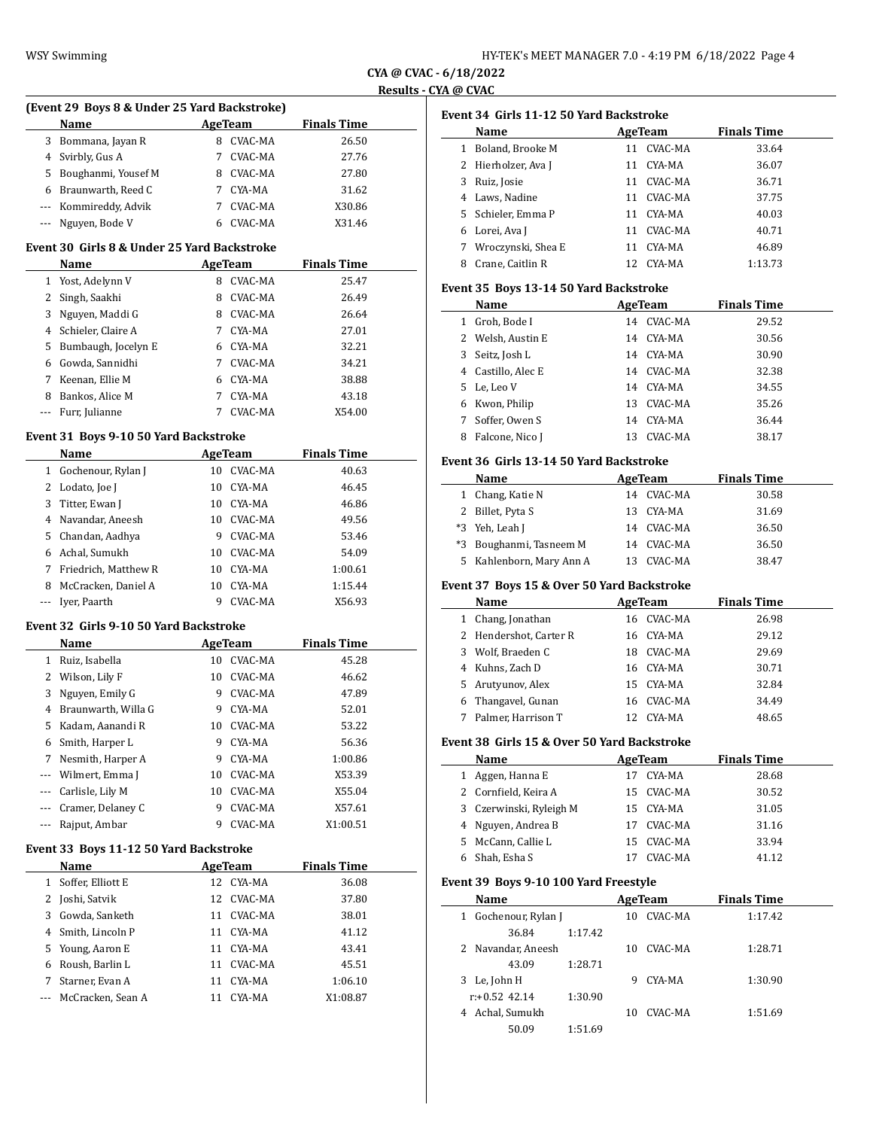| HY-TEK's MEET MANAGER 7.0 - 4:19 PM 6/18/2022 Page 4 |  |  |
|------------------------------------------------------|--|--|
|------------------------------------------------------|--|--|

**CYA @ CVAC - 6/18/2022 Results - CYA @ CVAC**

|              | (Event 29 Boys 8 & Under 25 Yard Backstroke)<br>Name  | AgeTeam |                | <b>Finals Time</b> |
|--------------|-------------------------------------------------------|---------|----------------|--------------------|
|              | 3 Bommana, Jayan R                                    | 8       | CVAC-MA        | 26.50              |
|              | 4 Svirbly, Gus A                                      | 7       | CVAC-MA        | 27.76              |
|              | 5 Boughanmi, Yousef M                                 |         | 8 CVAC-MA      | 27.80              |
|              | 6 Braunwarth, Reed C                                  |         | 7 CYA-MA       | 31.62              |
|              | --- Kommireddy, Advik                                 |         | 7 CVAC-MA      | X30.86             |
|              | --- Nguyen, Bode V                                    |         | 6 CVAC-MA      | X31.46             |
|              | Event 30 Girls 8 & Under 25 Yard Backstroke           |         |                |                    |
|              | Name                                                  |         | AgeTeam        | <b>Finals Time</b> |
|              | 1 Yost, Adelynn V                                     |         | 8 CVAC-MA      | 25.47              |
|              | 2 Singh, Saakhi                                       |         | 8 CVAC-MA      | 26.49              |
|              | 3 Nguyen, Maddi G                                     |         | 8 CVAC-MA      | 26.64              |
|              | 4 Schieler, Claire A                                  |         | 7 CYA-MA       | 27.01              |
|              | 5 Bumbaugh, Jocelyn E                                 |         | 6 CYA-MA       | 32.21              |
|              | 6 Gowda, Sannidhi                                     |         | 7 CVAC-MA      | 34.21              |
|              | 7 Keenan, Ellie M                                     |         | 6 CYA-MA       | 38.88              |
|              | 8 Bankos, Alice M                                     |         | 7 CYA-MA       | 43.18              |
| $---$        | Furr, Julianne                                        |         | 7 CVAC-MA      | X54.00             |
|              | Event 31 Boys 9-10 50 Yard Backstroke                 |         |                |                    |
|              | Name                                                  |         | AgeTeam        | <b>Finals Time</b> |
|              | 1 Gochenour, Rylan J                                  |         | 10 CVAC-MA     | 40.63              |
|              | 2 Lodato, Joe J                                       |         | 10 CYA-MA      | 46.45              |
|              | 3 Titter, Ewan J                                      |         | 10 CYA-MA      | 46.86              |
|              | 4 Navandar, Aneesh                                    |         | 10 CVAC-MA     | 49.56              |
|              | 5 Chandan, Aadhya                                     |         | 9 CVAC-MA      | 53.46              |
|              | 6 Achal, Sumukh                                       |         | 10 CVAC-MA     | 54.09              |
|              | 7 Friedrich, Matthew R                                |         | 10 CYA-MA      | 1:00.61            |
|              | 8 McCracken, Daniel A                                 |         | 10 CYA-MA      | 1:15.44            |
| $---$        | Iyer, Paarth                                          |         | 9 CVAC-MA      | X56.93             |
|              | Event 32 Girls 9-10 50 Yard Backstroke                |         |                |                    |
|              |                                                       |         |                | <b>Finals Time</b> |
|              | Name                                                  |         | <b>AgeTeam</b> |                    |
|              | 1 Ruiz, Isabella                                      |         | 10 CVAC-MA     | 45.28              |
|              | 2 Wilson, Lily F                                      |         | 10 CVAC-MA     | 46.62              |
|              | 3 Nguyen, Emily G                                     |         | 9 CVAC-MA      | 47.89              |
|              | 4 Braunwarth, Willa G                                 |         | 9 CYA-MA       | 52.01              |
|              | 5 Kadam, Aanandi R                                    |         | 10 CVAC-MA     | 53.22              |
| 6            | Smith, Harper L                                       | 9       | CYA-MA         | 56.36              |
| 7            | Nesmith, Harper A                                     | 9.      | CYA-MA         | 1:00.86            |
|              | --- Wilmert, Emma J                                   | 10      | CVAC-MA        | X53.39             |
|              | --- Carlisle, Lily M                                  | 10      | CVAC-MA        | X55.04             |
|              |                                                       | 9       | CVAC-MA        |                    |
| ---          | --- Cramer, Delaney C<br>Rajput, Ambar                | 9       | CVAC-MA        | X57.61<br>X1:00.51 |
|              |                                                       |         |                |                    |
|              | Event 33 Boys 11-12 50 Yard Backstroke<br><b>Name</b> |         | <b>AgeTeam</b> | <b>Finals Time</b> |
| $\mathbf{1}$ | Soffer, Elliott E                                     | 12      | CYA-MA         | 36.08              |
|              | 2 Joshi, Satvik                                       | 12      | CVAC-MA        | 37.80              |
|              | 3 Gowda, Sanketh                                      |         | 11 CVAC-MA     | 38.01              |
|              | 4 Smith, Lincoln P                                    |         | 11 CYA-MA      | 41.12              |
| 5            | Young, Aaron E                                        |         | 11 CYA-MA      | 43.41              |
|              | 6 Roush, Barlin L                                     |         | 11 CVAC-MA     | 45.51              |
| 7            | Starner, Evan A                                       | 11      | CYA-MA         | 1:06.10            |

|   | Event 34 Girls 11-12 50 Yard Backstroke<br>Name |    | <b>AgeTeam</b> | <b>Finals Time</b> |
|---|-------------------------------------------------|----|----------------|--------------------|
|   | 1 Boland, Brooke M                              | 11 | CVAC-MA        | 33.64              |
|   | 2 Hierholzer, Ava J                             | 11 | CYA-MA         | 36.07              |
|   | 3 Ruiz, Josie                                   |    | 11 CVAC-MA     | 36.71              |
|   | 4 Laws, Nadine                                  |    | 11 CVAC-MA     | 37.75              |
|   | 5 Schieler, Emma P                              |    | 11 CYA-MA      | 40.03              |
|   | 6 Lorei, Ava J                                  |    | 11 CVAC-MA     | 40.71              |
|   | 7 Wroczynski, Shea E                            |    | 11 CYA-MA      | 46.89              |
|   | 8 Crane, Caitlin R                              |    | 12 CYA-MA      | 1:13.73            |
|   |                                                 |    |                |                    |
|   | Event 35 Boys 13-14 50 Yard Backstroke<br>Name  |    | AgeTeam        | <b>Finals Time</b> |
|   | 1 Groh, Bode I                                  |    | 14 CVAC-MA     | 29.52              |
|   | 2 Welsh, Austin E                               |    | 14 CYA-MA      | 30.56              |
|   |                                                 |    |                |                    |
|   | 3 Seitz, Josh L                                 |    | 14 CYA-MA      | 30.90              |
|   | 4 Castillo, Alec E                              |    | 14 CVAC-MA     | 32.38              |
|   | 5 Le, Leo V                                     |    | 14 CYA-MA      | 34.55              |
|   | 6 Kwon, Philip                                  |    | 13 CVAC-MA     | 35.26              |
|   | 7 Soffer, Owen S                                |    | 14 CYA-MA      | 36.44              |
|   | 8 Falcone, Nico J                               |    | 13 CVAC-MA     | 38.17              |
|   | Event 36 Girls 13-14 50 Yard Backstroke         |    |                |                    |
|   | Name                                            |    | AgeTeam        | <b>Finals Time</b> |
|   | 1 Chang, Katie N                                |    | 14 CVAC-MA     | 30.58              |
|   | 2 Billet, Pyta S                                |    | 13 CYA-MA      | 31.69              |
|   | *3 Yeh, Leah J                                  |    | 14 CVAC-MA     | 36.50              |
|   | *3 Boughanmi, Tasneem M                         |    | 14 CVAC-MA     | 36.50              |
|   | 5 Kahlenborn, Mary Ann A                        |    | 13 CVAC-MA     | 38.47              |
|   | Event 37 Boys 15 & Over 50 Yard Backstroke      |    |                |                    |
|   | Name                                            |    | AgeTeam        | <b>Finals Time</b> |
|   | 1 Chang, Jonathan                               |    | 16 CVAC-MA     | 26.98              |
|   | 2 Hendershot, Carter R                          |    | 16 CYA-MA      | 29.12              |
|   | 3 Wolf, Braeden C                               |    | 18 CVAC-MA     | 29.69              |
|   | 4 Kuhns, Zach D                                 |    | 16 CYA-MA      | 30.71              |
|   | 5 Arutyunov, Alex                               |    | 15 CYA-MA      | 32.84              |
|   | 6 Thangavel, Gunan                              |    | 16 CVAC-MA     | 34.49              |
| 7 | Palmer, Harrison T                              |    | 12 CYA-MA      | 48.65              |
|   | Event 38 Girls 15 & Over 50 Yard Backstroke     |    |                |                    |
|   | Name                                            |    | AgeTeam        | <b>Finals Time</b> |
|   | 1 Aggen, Hanna E                                | 17 | CYA-MA         | 28.68              |
|   | 2 Cornfield, Keira A                            |    | 15 CVAC-MA     | 30.52              |
|   | 3 Czerwinski, Ryleigh M                         |    | 15 CYA-MA      | 31.05              |
|   | 4 Nguyen, Andrea B                              |    | 17 CVAC-MA     | 31.16              |
|   | 5 McCann, Callie L                              |    | 15 CVAC-MA     | 33.94              |
|   |                                                 |    |                |                    |
|   | 6 Shah, Esha S                                  |    | 17 CVAC-MA     | 41.12              |
|   | Event 39 Boys 9-10 100 Yard Freestyle           |    |                |                    |
|   | Name                                            |    | <b>AgeTeam</b> | <b>Finals Time</b> |
|   | 1 Gochenour, Rylan J                            | 10 | CVAC-MA        | 1:17.42            |
|   | 36.84<br>1:17.42                                |    |                |                    |
|   | 2 Navandar, Aneesh                              |    | 10 CVAC-MA     | 1:28.71            |
|   | 43.09<br>1:28.71                                |    |                |                    |
|   | 3 Le, John H                                    | 9  | CYA-MA         | 1:30.90            |
|   |                                                 |    |                |                    |
|   | $r+0.52$ 42.14<br>1:30.90                       |    |                |                    |
|   | 4 Achal, Sumukh                                 |    | 10 CVAC-MA     | 1:51.69            |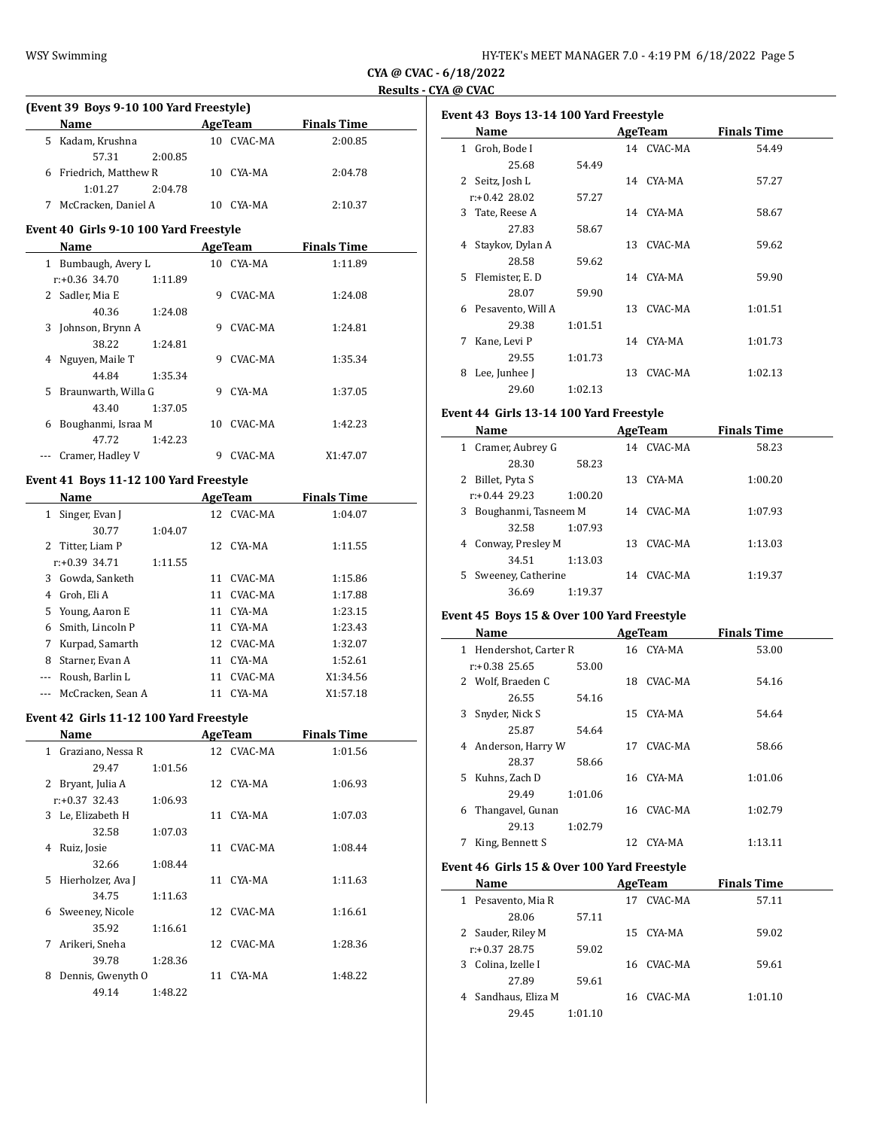# **CYA @ CVAC - 6/18/2022 Results - CYA @ CVAC**

| (Event 39 Boys 9-10 100 Yard Freestyle) |                        |         |    |         |                    |  |
|-----------------------------------------|------------------------|---------|----|---------|--------------------|--|
|                                         | <b>Name</b>            |         |    | AgeTeam | <b>Finals Time</b> |  |
|                                         | 5 Kadam, Krushna       |         |    | CVAC-MA | 2:00.85            |  |
|                                         | 57.31                  | 2:00.85 |    |         |                    |  |
|                                         | 6 Friedrich, Matthew R |         | 10 | CYA-MA  | 2:04.78            |  |
|                                         | 1:01.27                | 2:04.78 |    |         |                    |  |
|                                         | McCracken, Daniel A    |         |    | CYA-MA  | 2:10.37            |  |

## **Event 40 Girls 9-10 100 Yard Freestyle**

| Name                      | AgeTeam |         | <b>Finals Time</b> |  |
|---------------------------|---------|---------|--------------------|--|
| Bumbaugh, Avery L         | 10.     | CYA-MA  | 1:11.89            |  |
| $r: +0.36$ 34.70          | 1:11.89 |         |                    |  |
| Sadler, Mia E             | 9       | CVAC-MA | 1:24.08            |  |
| 40.36                     | 1:24.08 |         |                    |  |
| Johnson, Brynn A<br>3     | 9       | CVAC-MA | 1:24.81            |  |
| 38.22                     | 1:24.81 |         |                    |  |
| Nguyen, Maile T<br>4      | 9       | CVAC-MA | 1:35.34            |  |
| 44.84                     | 1:35.34 |         |                    |  |
| Braunwarth, Willa G<br>5. | 9       | CYA-MA  | 1:37.05            |  |
| 43.40                     | 1:37.05 |         |                    |  |
| Boughanmi, Israa M<br>6   | 10      | CVAC-MA | 1:42.23            |  |
| 47.72                     | 1:42.23 |         |                    |  |
| Cramer, Hadley V          | 9       | CVAC-MA | X1:47.07           |  |

# **Event 41 Boys 11-12 100 Yard Freestyle**

| Name                  |         | AgeTeam |            | <b>Finals Time</b> |  |
|-----------------------|---------|---------|------------|--------------------|--|
| Singer, Evan J<br>1   |         |         | 12 CVAC-MA | 1:04.07            |  |
| 30.77                 | 1:04.07 |         |            |                    |  |
| 2 Titter, Liam P      |         |         | 12 CYA-MA  | 1:11.55            |  |
| $r: +0.39$ 34.71      | 1:11.55 |         |            |                    |  |
| 3 Gowda, Sanketh      |         | 11      | CVAC-MA    | 1:15.86            |  |
| Groh, Eli A<br>4      |         | 11      | CVAC-MA    | 1:17.88            |  |
| 5 Young, Aaron E      |         | 11      | CYA-MA     | 1:23.15            |  |
| Smith, Lincoln P<br>6 |         | 11      | CYA-MA     | 1:23.43            |  |
| Kurpad, Samarth<br>7  |         |         | 12 CVAC-MA | 1:32.07            |  |
| Starner, Evan A<br>8  |         | 11      | CYA-MA     | 1:52.61            |  |
| Roush, Barlin L       |         | 11      | CVAC-MA    | X1:34.56           |  |
| McCracken, Sean A     |         | 11      | CYA-MA     | X1:57.18           |  |

## **Event 42 Girls 11-12 100 Yard Freestyle**

| Name                              |         |    | <b>AgeTeam</b> | <b>Finals Time</b> |
|-----------------------------------|---------|----|----------------|--------------------|
| Graziano, Nessa R<br>$\mathbf{1}$ |         |    | 12 CVAC-MA     | 1:01.56            |
| 29.47                             | 1:01.56 |    |                |                    |
| 2<br>Bryant, Julia A              |         |    | 12 CYA-MA      | 1:06.93            |
| $r: +0.37$ 32.43                  | 1:06.93 |    |                |                    |
| 3 Le, Elizabeth H                 |         | 11 | CYA-MA         | 1:07.03            |
| 32.58                             | 1:07.03 |    |                |                    |
| Ruiz, Josie<br>4                  |         | 11 | CVAC-MA        | 1:08.44            |
| 32.66                             | 1:08.44 |    |                |                    |
| Hierholzer, Ava J<br>5            |         |    | 11 CYA-MA      | 1:11.63            |
| 34.75                             | 1:11.63 |    |                |                    |
| Sweeney, Nicole<br>6              |         |    | 12 CVAC-MA     | 1:16.61            |
| 35.92                             | 1:16.61 |    |                |                    |
| 7<br>Arikeri, Sneha               |         |    | 12 CVAC-MA     | 1:28.36            |
| 39.78                             | 1:28.36 |    |                |                    |
| Dennis, Gwenyth O<br>8            |         | 11 | CYA-MA         | 1:48.22            |
| 49.14                             | 1:48.22 |    |                |                    |

| Event 43 Boys 13-14 100 Yard Freestyle |                   |         |     |            |                    |  |
|----------------------------------------|-------------------|---------|-----|------------|--------------------|--|
| Name                                   |                   |         |     | AgeTeam    | <b>Finals Time</b> |  |
| 1                                      | Groh, Bode I      |         |     | 14 CVAC-MA | 54.49              |  |
|                                        | 25.68             | 54.49   |     |            |                    |  |
|                                        | 2 Seitz, Josh L   |         |     | 14 CYA-MA  | 57.27              |  |
|                                        | $r: +0.42$ 28.02  | 57.27   |     |            |                    |  |
| 3                                      | Tate, Reese A     |         |     | 14 CYA-MA  | 58.67              |  |
|                                        | 27.83             | 58.67   |     |            |                    |  |
| 4                                      | Staykov, Dylan A  |         | 13  | CVAC-MA    | 59.62              |  |
|                                        | 28.58             | 59.62   |     |            |                    |  |
| 5.                                     | Flemister, E.D.   |         |     | 14 CYA-MA  | 59.90              |  |
|                                        | 28.07             | 59.90   |     |            |                    |  |
| 6                                      | Pesavento, Will A |         | 13  | CVAC-MA    | 1:01.51            |  |
|                                        | 29.38             | 1:01.51 |     |            |                    |  |
| 7                                      | Kane, Levi P      |         |     | 14 CYA-MA  | 1:01.73            |  |
|                                        | 29.55             | 1:01.73 |     |            |                    |  |
| 8                                      | Lee, Junhee J     |         | 13. | CVAC-MA    | 1:02.13            |  |
|                                        | 29.60             | 1:02.13 |     |            |                    |  |

## **Event 44 Girls 13-14 100 Yard Freestyle**

| Name                      |         | AgeTeam |            | <b>Finals Time</b> |  |
|---------------------------|---------|---------|------------|--------------------|--|
| Cramer, Aubrey G<br>1     |         |         | 14 CVAC-MA | 58.23              |  |
| 28.30                     | 58.23   |         |            |                    |  |
| 2<br>Billet, Pyta S       |         | 13.     | CYA-MA     | 1:00.20            |  |
| $r: +0.44$ 29.23          | 1:00.20 |         |            |                    |  |
| Boughanmi, Tasneem M<br>3 |         |         | 14 CVAC-MA | 1:07.93            |  |
| 32.58                     | 1:07.93 |         |            |                    |  |
| Conway, Presley M<br>4    |         | 13.     | CVAC-MA    | 1:13.03            |  |
| 34.51                     | 1:13.03 |         |            |                    |  |
| Sweeney, Catherine<br>5   |         | 14      | CVAC-MA    | 1:19.37            |  |
| 36.69                     | 1:19.37 |         |            |                    |  |

# **Event 45 Boys 15 & Over 100 Yard Freestyle**

| Name                      |         |    | <b>AgeTeam</b> | <b>Finals Time</b> |  |
|---------------------------|---------|----|----------------|--------------------|--|
| Hendershot, Carter R<br>1 |         |    | 16 CYA-MA      | 53.00              |  |
| $r: +0.38$ 25.65          | 53.00   |    |                |                    |  |
| 2 Wolf, Braeden C         |         | 18 | CVAC-MA        | 54.16              |  |
| 26.55                     | 54.16   |    |                |                    |  |
| Snyder, Nick S<br>3       |         |    | 15 CYA-MA      | 54.64              |  |
| 25.87                     | 54.64   |    |                |                    |  |
| Anderson, Harry W<br>4    |         | 17 | CVAC-MA        | 58.66              |  |
| 28.37                     | 58.66   |    |                |                    |  |
| Kuhns, Zach D<br>5.       |         | 16 | CYA-MA         | 1:01.06            |  |
| 29.49                     | 1:01.06 |    |                |                    |  |
| Thangavel, Gunan<br>6     |         | 16 | CVAC-MA        | 1:02.79            |  |
| 29.13                     | 1:02.79 |    |                |                    |  |
| King, Bennett S           |         | 12 | CYA-MA         | 1:13.11            |  |

# **Event 46 Girls 15 & Over 100 Yard Freestyle**

| Name                  |         |     | AgeTeam    | <b>Finals Time</b> |  |
|-----------------------|---------|-----|------------|--------------------|--|
| Pesavento, Mia R<br>1 |         | 17  | CVAC-MA    | 57.11              |  |
| 28.06                 | 57.11   |     |            |                    |  |
| 2 Sauder, Riley M     |         |     | 15 CYA-MA  | 59.02              |  |
| $r: +0.37$ 28.75      | 59.02   |     |            |                    |  |
| Colina, Izelle I<br>3 |         |     | 16 CVAC-MA | 59.61              |  |
| 27.89                 | 59.61   |     |            |                    |  |
| 4 Sandhaus, Eliza M   |         | 16. | CVAC-MA    | 1:01.10            |  |
| 29.45                 | 1:01.10 |     |            |                    |  |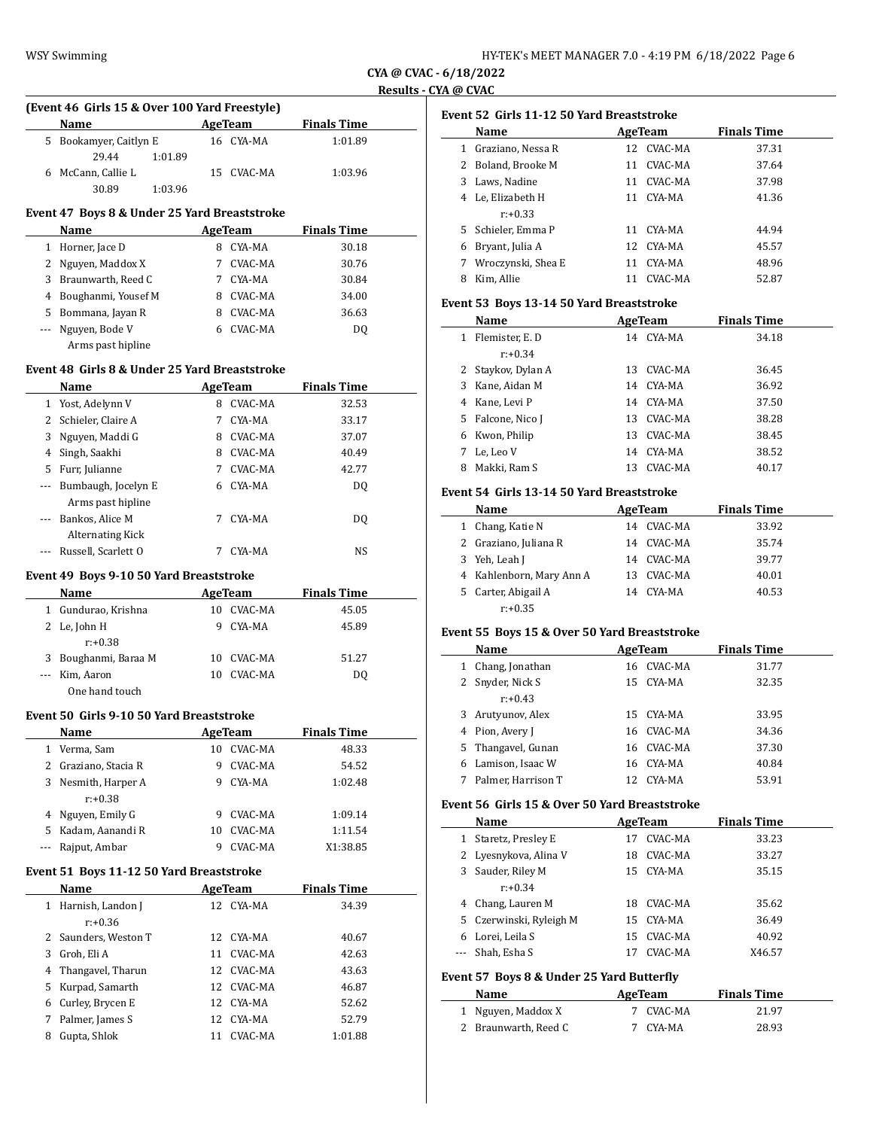**CYA @ CVAC - 6/18/2022 Results - CYA @ CVAC**

|       | (Event 46 Girls 15 & Over 100 Yard Freestyle) |         |                         |                             |  |
|-------|-----------------------------------------------|---------|-------------------------|-----------------------------|--|
|       | Name                                          |         | <b>AgeTeam</b>          | <b>Finals Time</b>          |  |
|       | 5 Bookamyer, Caitlyn E<br>29.44<br>1:01.89    |         | 16 CYA-MA               | 1:01.89                     |  |
|       | 6 McCann, Callie L                            |         | 15 CVAC-MA              | 1:03.96                     |  |
|       | 30.89<br>1:03.96                              |         |                         |                             |  |
|       |                                               |         |                         |                             |  |
|       | Event 47 Boys 8 & Under 25 Yard Breaststroke  |         |                         |                             |  |
|       | Name                                          |         | AgeTeam                 | <b>Finals Time</b>          |  |
|       | 1 Horner, Jace D                              |         | 8 CYA-MA                | 30.18                       |  |
|       | 2 Nguyen, Maddox X                            |         | 7 CVAC-MA               | 30.76                       |  |
|       | 3 Braunwarth, Reed C                          |         | 7 CYA-MA                | 30.84                       |  |
|       | 4 Boughanmi, Yousef M                         |         | 8 CVAC-MA               | 34.00                       |  |
|       | 5 Bommana, Jayan R                            |         | 8 CVAC-MA               | 36.63                       |  |
|       | --- Nguyen, Bode V                            |         | 6 CVAC-MA               | DQ                          |  |
|       | Arms past hipline                             |         |                         |                             |  |
|       | Event 48 Girls 8 & Under 25 Yard Breaststroke |         |                         |                             |  |
|       | Name                                          |         | AgeTeam                 | <b>Finals Time</b>          |  |
|       | 1 Yost, Adelynn V                             |         | 8 CVAC-MA               | 32.53                       |  |
|       | 2 Schieler, Claire A                          |         | 7 CYA-MA                | 33.17                       |  |
|       | 3 Nguyen, Maddi G                             |         | 8 CVAC-MA               | 37.07                       |  |
|       | 4 Singh, Saakhi                               |         | 8 CVAC-MA               | 40.49                       |  |
|       | 5 Furr, Julianne                              |         | 7 CVAC-MA               | 42.77                       |  |
|       | --- Bumbaugh, Jocelyn E                       |         | 6 CYA-MA                | DQ                          |  |
|       | Arms past hipline                             |         |                         |                             |  |
| $---$ | Bankos, Alice M                               | 7       | CYA-MA                  | DQ                          |  |
|       | <b>Alternating Kick</b>                       |         |                         |                             |  |
|       | --- Russell, Scarlett O                       | 7       | CYA-MA                  | NS                          |  |
|       | Event 49 Boys 9-10 50 Yard Breaststroke       |         |                         |                             |  |
|       | Name AgeTeam                                  |         |                         | <b>Finals Time</b>          |  |
|       | 1 Gundurao, Krishna                           |         | 10 CVAC-MA              | 45.05                       |  |
|       | 2 Le, John H                                  |         | 9 CYA-MA                | 45.89                       |  |
|       | $r: +0.38$                                    |         |                         |                             |  |
|       | 3 Boughanmi, Baraa M                          |         | 10 CVAC-MA              | 51.27                       |  |
|       |                                               |         |                         |                             |  |
|       | --- Kim, Aaron                                |         | 10 CVAC-MA              | DQ                          |  |
|       | One hand touch                                |         |                         |                             |  |
|       |                                               |         |                         |                             |  |
|       | Event 50 Girls 9-10 50 Yard Breaststroke      |         |                         |                             |  |
|       | <b>Name</b><br>1 Verma, Sam                   | AgeTeam | 10 CVAC-MA              | <b>Finals Time</b><br>48.33 |  |
|       | 2 Graziano, Stacia R                          | 9       | CVAC-MA                 |                             |  |
|       |                                               | 9       | CYA-MA                  | 54.52                       |  |
|       | 3 Nesmith, Harper A<br>$r: +0.38$             |         |                         | 1:02.48                     |  |
|       | 4 Nguyen, Emily G                             | 9       | CVAC-MA                 | 1:09.14                     |  |
| 5     | Kadam, Aanandi R                              | 10      | CVAC-MA                 | 1:11.54                     |  |
| ---   | Rajput, Ambar                                 | 9       | CVAC-MA                 | X1:38.85                    |  |
|       |                                               |         |                         |                             |  |
|       | Event 51 Boys 11-12 50 Yard Breaststroke      |         |                         |                             |  |
|       | Name                                          |         | <b>AgeTeam</b>          | <b>Finals Time</b>          |  |
|       | 1 Harnish, Landon J                           |         | 12 CYA-MA               | 34.39                       |  |
|       | $r: +0.36$                                    |         |                         |                             |  |
|       | 2 Saunders, Weston T                          |         | 12 CYA-MA               | 40.67                       |  |
|       | 3 Groh, Eli A                                 | 11      | CVAC-MA                 | 42.63                       |  |
|       | 4 Thangavel, Tharun                           |         | 12 CVAC-MA              | 43.63                       |  |
|       | 5 Kurpad, Samarth                             |         | 12 CVAC-MA              | 46.87                       |  |
|       | 6 Curley, Brycen E                            |         | 12 CYA-MA               | 52.62                       |  |
| 7     | Palmer, James S<br>8 Gupta, Shlok             |         | 12 CYA-MA<br>11 CVAC-MA | 52.79<br>1:01.88            |  |

|                | Event 52  Girls 11-12 50 Yard Breaststroke           |    |                |                                      |
|----------------|------------------------------------------------------|----|----------------|--------------------------------------|
|                | Name                                                 |    | <b>AgeTeam</b> | <b>Finals Time</b>                   |
|                | 1 Graziano, Nessa R                                  |    | 12 CVAC-MA     | 37.31                                |
|                | 2 Boland, Brooke M                                   |    | 11 CVAC-MA     | 37.64                                |
|                | 3 Laws, Nadine                                       |    | 11 CVAC-MA     | 37.98                                |
|                | 4 Le, Elizabeth H                                    |    | 11 CYA-MA      | 41.36                                |
|                | $r: +0.33$                                           |    |                |                                      |
|                | 5 Schieler, Emma P                                   |    | 11 CYA-MA      | 44.94                                |
| 6              | Bryant, Julia A                                      |    | 12 CYA-MA      | 45.57                                |
|                | 7 Wroczynski, Shea E                                 |    | 11 CYA-MA      | 48.96                                |
|                | 8 Kim, Allie                                         |    | 11 CVAC-MA     | 52.87                                |
|                |                                                      |    |                |                                      |
|                | Event 53 Boys 13-14 50 Yard Breaststroke             |    |                |                                      |
|                | Name                                                 |    | <b>AgeTeam</b> | <b>Finals Time</b>                   |
|                | 1 Flemister, E. D                                    |    | 14 CYA-MA      | 34.18                                |
|                | $r: +0.34$                                           |    |                |                                      |
|                | 2 Staykov, Dylan A                                   |    | 13 CVAC-MA     | 36.45                                |
|                | 3 Kane, Aidan M                                      |    | 14 CYA-MA      | 36.92                                |
|                | 4 Kane, Levi P                                       |    | 14 CYA-MA      | 37.50                                |
| 5              | Falcone, Nico J                                      |    | 13 CVAC-MA     | 38.28                                |
|                | 6 Kwon, Philip                                       |    | 13 CVAC-MA     | 38.45                                |
| 7              | Le, Leo V                                            |    | 14 CYA-MA      | 38.52                                |
|                | 8 Makki, Ram S                                       |    | 13 CVAC-MA     | 40.17                                |
|                |                                                      |    |                |                                      |
|                | Event 54 Girls 13-14 50 Yard Breaststroke            |    |                |                                      |
|                | Name                                                 |    | AgeTeam        | <b>Finals Time</b>                   |
|                | 1 Chang, Katie N                                     |    | 14 CVAC-MA     | 33.92                                |
|                | 2 Graziano, Juliana R                                |    | 14 CVAC-MA     | 35.74                                |
|                | 3 Yeh, Leah J                                        |    | 14 CVAC-MA     | 39.77                                |
|                | 4 Kahlenborn, Mary Ann A                             |    | 13 CVAC-MA     | 40.01                                |
|                | 5 Carter, Abigail A                                  |    | 14 CYA-MA      | 40.53                                |
|                | $r: +0.35$                                           |    |                |                                      |
|                | Event 55 Boys 15 & Over 50 Yard Breaststroke         |    |                |                                      |
|                | Name                                                 |    | AgeTeam        | <b>Finals Time</b>                   |
|                | 1 Chang, Jonathan                                    |    | 16 CVAC-MA     | 31.77                                |
|                | 2 Snyder, Nick S                                     |    | 15 CYA-MA      | 32.35                                |
|                | $r: +0.43$                                           |    |                |                                      |
| 3              | Arutyunov, Alex                                      | 15 | CYA-MA         | 33.95                                |
| $\overline{4}$ | Pion, Avery J                                        | 16 | CVAC-MA        | 34.36                                |
|                |                                                      |    |                |                                      |
|                |                                                      |    |                |                                      |
| 5              | Thangavel, Gunan                                     |    | 16 CVAC-MA     | 37.30                                |
| 6              | Lamison, Isaac W                                     | 16 | CYA-MA         |                                      |
| 7              | Palmer, Harrison T                                   | 12 | CYA-MA         |                                      |
|                | Event 56  Girls 15 & Over 50 Yard Breaststroke       |    |                | 40.84<br>53.91                       |
|                | <b>Name</b>                                          |    | AgeTeam        |                                      |
| $\mathbf{1}$   | Staretz, Presley E                                   |    | 17 CVAC-MA     |                                      |
| 2              | Lyesnykova, Alina V                                  | 18 | CVAC-MA        | <b>Finals Time</b><br>33.23<br>33.27 |
| 3              |                                                      | 15 | CYA-MA         | 35.15                                |
|                | Sauder, Riley M<br>$r: +0.34$                        |    |                |                                      |
| 4              |                                                      | 18 |                |                                      |
|                | Chang, Lauren M                                      |    | CVAC-MA        | 35.62                                |
| 5              | Czerwinski, Ryleigh M                                | 15 | CYA-MA         |                                      |
| 6              | Lorei, Leila S                                       | 15 | CVAC-MA        | 36.49<br>40.92                       |
|                | Shah, Esha S                                         | 17 | CVAC-MA        | X46.57                               |
|                | <b>Event 57 Boys 8 &amp; Under 25 Yard Butterfly</b> |    |                |                                      |
| ---            | Name                                                 |    | AgeTeam        | <b>Finals Time</b>                   |
| $\mathbf{1}$   | Nguyen, Maddox X                                     | 7  | CVAC-MA        | 21.97                                |
| 2              | Braunwarth, Reed C                                   | 7  | CYA-MA         | 28.93                                |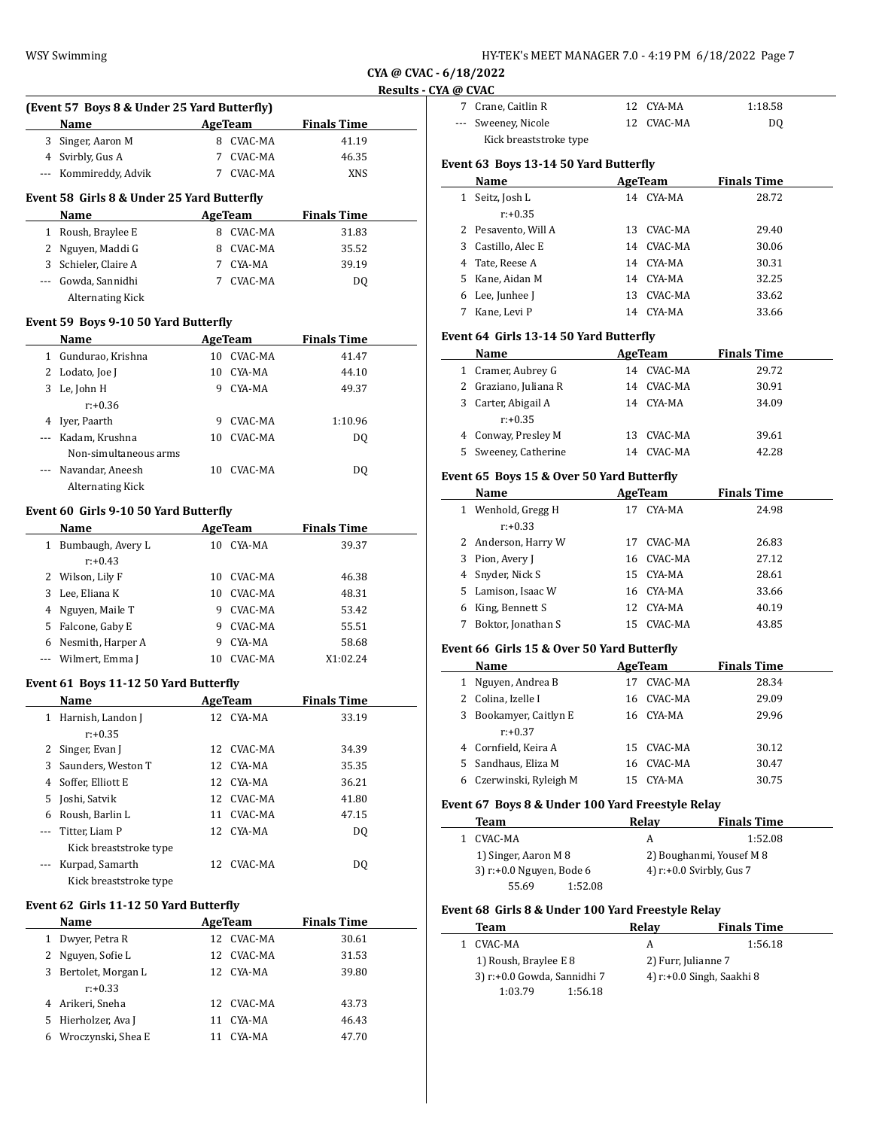| HY-TEK's MEET MANAGER 7.0 - 4:19 PM  6/18/2022  Page 7 |  |  |  |
|--------------------------------------------------------|--|--|--|
|--------------------------------------------------------|--|--|--|

**CYA @ CVAC - 6/18/2022 Results - CYA** 

|     | (Event 57 Boys 8 & Under 25 Yard Butterfly) |    |                     |                    |  |
|-----|---------------------------------------------|----|---------------------|--------------------|--|
|     | Name                                        |    | AgeTeam             | <b>Finals Time</b> |  |
|     | 3 Singer, Aaron M                           |    | 8 CVAC-MA           | 41.19              |  |
|     | 4 Svirbly, Gus A                            |    | 7 CVAC-MA           | 46.35              |  |
|     | --- Kommireddy, Advik                       |    | 7 CVAC-MA           | <b>XNS</b>         |  |
|     | Event 58 Girls 8 & Under 25 Yard Butterfly  |    |                     |                    |  |
|     | Name                                        |    | AgeTeam             | <b>Finals Time</b> |  |
|     | 1 Roush, Braylee E                          |    | 8 CVAC-MA           | 31.83              |  |
|     | 2 Nguyen, Maddi G                           |    | 8 CVAC-MA           | 35.52              |  |
|     | 3 Schieler, Claire A                        |    | 7 CYA-MA            | 39.19              |  |
|     | --- Gowda, Sannidhi                         |    | 7 CVAC-MA           | DQ                 |  |
|     | <b>Alternating Kick</b>                     |    |                     |                    |  |
|     |                                             |    |                     |                    |  |
|     | Event 59 Boys 9-10 50 Yard Butterfly        |    |                     |                    |  |
|     | Name                                        |    | <b>AgeTeam</b>      | <b>Finals Time</b> |  |
|     | 1 Gundurao, Krishna                         |    | 10 CVAC-MA          | 41.47              |  |
|     | 2 Lodato, Joe J                             |    | 10 CYA-MA           | 44.10              |  |
|     | 3 Le, John H                                |    | 9 CYA-MA            | 49.37              |  |
|     | $r: +0.36$                                  |    |                     |                    |  |
|     | 4 Iyer, Paarth                              |    | 9 CVAC-MA           | 1:10.96            |  |
|     | --- Kadam. Krushna                          |    | 10 CVAC-MA          | DQ                 |  |
|     | Non-simultaneous arms                       |    |                     |                    |  |
|     | Navandar, Aneesh                            |    | 10 CVAC-MA          | DQ                 |  |
|     | Alternating Kick                            |    |                     |                    |  |
|     | Event 60  Girls 9-10 50 Yard Butterfly      |    |                     |                    |  |
|     | Name                                        |    | AgeTeam             | <b>Finals Time</b> |  |
|     | 1 Bumbaugh, Avery L                         |    | 10 CYA-MA           | 39.37              |  |
|     | $r: +0.43$                                  |    |                     |                    |  |
|     | 2 Wilson, Lily F                            |    | 10 CVAC-MA          | 46.38              |  |
|     | 3 Lee, Eliana K                             |    | 10 CVAC-MA          | 48.31              |  |
|     | 4 Nguyen, Maile T                           | 9  | CVAC-MA             | 53.42              |  |
|     |                                             |    |                     |                    |  |
|     | 5 Falcone, Gaby E                           | 9  | CVAC-MA<br>9 CYA-MA | 55.51              |  |
|     | 6 Nesmith, Harper A                         |    |                     | 58.68              |  |
|     | Wilmert, Emma J                             |    | 10 CVAC-MA          | X1:02.24           |  |
|     | Event 61 Boys 11-12 50 Yard Butterfly       |    |                     |                    |  |
|     | Name                                        |    | AgeTeam             | <b>Finals Time</b> |  |
|     | 1 Harnish, Landon J                         |    | 12 CYA-MA           | 33.19              |  |
|     | $r: +0.35$                                  |    |                     |                    |  |
| 2   | Singer, Evan J                              | 12 | CVAC-MA             | 34.39              |  |
| 3   | Saunders, Weston T                          | 12 | CYA-MA              | 35.35              |  |
| 4   | Soffer, Elliott E                           | 12 | CYA-MA              | 36.21              |  |
| 5   | Joshi, Satvik                               | 12 | CVAC-MA             | 41.80              |  |
| 6   | Roush, Barlin L                             | 11 | CVAC-MA             | 47.15              |  |
| --- | Titter, Liam P                              | 12 | CYA-MA              | DQ                 |  |
|     | Kick breaststroke type                      |    |                     |                    |  |
| --- | Kurpad, Samarth                             | 12 | CVAC-MA             | DQ                 |  |
|     | Kick breaststroke type                      |    |                     |                    |  |
|     |                                             |    |                     |                    |  |
|     | Event 62 Girls 11-12 50 Yard Butterfly      |    |                     |                    |  |
|     | <b>Name</b>                                 |    | AgeTeam             | <b>Finals Time</b> |  |
|     | 1 Dwyer, Petra R                            | 12 | CVAC-MA             | 30.61              |  |
| 2   | Nguyen, Sofie L                             | 12 | CVAC-MA             | 31.53              |  |
|     | 3 Bertolet, Morgan L                        | 12 | CYA-MA              | 39.80              |  |
|     | $r: +0.33$                                  |    |                     |                    |  |

4 Arikeri, Sneha 12 CVAC-MA 43.73 5 Hierholzer, Ava J 11 CYA-MA 46.43 6 Wroczynski, Shea E 11 CYA-MA 47.70

| 'A @ CVAC                              |                        |  |            |                    |  |  |
|----------------------------------------|------------------------|--|------------|--------------------|--|--|
|                                        | 7 Crane, Caitlin R     |  | 12 CYA-MA  | 1:18.58            |  |  |
|                                        | --- Sweeney, Nicole    |  | 12 CVAC-MA | DO.                |  |  |
|                                        | Kick breaststroke type |  |            |                    |  |  |
| Event 63  Boys 13-14 50 Yard Butterfly |                        |  |            |                    |  |  |
|                                        | Name                   |  | AgeTeam    | <b>Finals Time</b> |  |  |

|   | Name                |    | AgeTeam   | <b>Finals Time</b> |
|---|---------------------|----|-----------|--------------------|
| 1 | Seitz, Josh L       | 14 | CYA-MA    | 28.72              |
|   | $r: +0.35$          |    |           |                    |
|   | 2 Pesavento, Will A | 13 | CVAC-MA   | 29.40              |
|   | 3 Castillo, Alec E  | 14 | CVAC-MA   | 30.06              |
|   | 4 Tate, Reese A     |    | 14 CYA-MA | 30.31              |
|   | 5 Kane, Aidan M     |    | 14 CYA-MA | 32.25              |
| 6 | Lee, Junhee J       | 13 | CVAC-MA   | 33.62              |
|   | Kane, Levi P        | 14 | CYA-MA    | 33.66              |

## **Event 64 Girls 13-14 50 Yard Butterfly**

| Name                  |     | AgeTeam    | <b>Finals Time</b> |
|-----------------------|-----|------------|--------------------|
| 1 Cramer, Aubrey G    |     | 14 CVAC-MA | 29.72              |
| 2 Graziano, Juliana R | 14  | CVAC-MA    | 30.91              |
| 3 Carter, Abigail A   | 14  | CYA-MA     | 34.09              |
| $r: +0.35$            |     |            |                    |
| 4 Conway, Presley M   | 13. | CVAC-MA    | 39.61              |
| 5 Sweeney, Catherine  | 14  | CVAC-MA    | 42.28              |

# **Event 65 Boys 15 & Over 50 Yard Butterfly**

|   | Name                | AgeTeam |            | <b>Finals Time</b> |
|---|---------------------|---------|------------|--------------------|
|   | 1 Wenhold, Gregg H  | 17      | CYA-MA     | 24.98              |
|   | $r: +0.33$          |         |            |                    |
|   | 2 Anderson, Harry W | 17      | CVAC-MA    | 26.83              |
|   | 3 Pion, Avery J     |         | 16 CVAC-MA | 27.12              |
|   | 4 Snyder, Nick S    | 15      | CYA-MA     | 28.61              |
|   | 5 Lamison, Isaac W  |         | 16 CYA-MA  | 33.66              |
| 6 | King, Bennett S     | 12      | CYA-MA     | 40.19              |
| 7 | Boktor, Jonathan S  | 15      | CVAC-MA    | 43.85              |

## **Event 66 Girls 15 & Over 50 Yard Butterfly**

|   | Name                   |    | AgeTeam    | <b>Finals Time</b> |
|---|------------------------|----|------------|--------------------|
| 1 | Nguyen, Andrea B       | 17 | CVAC-MA    | 28.34              |
|   | 2 Colina, Izelle I     | 16 | CVAC-MA    | 29.09              |
|   | 3 Bookamyer, Caitlyn E |    | 16 CYA-MA  | 29.96              |
|   | $r: +0.37$             |    |            |                    |
|   | 4 Cornfield, Keira A   |    | 15 CVAC-MA | 30.12              |
|   | 5 Sandhaus, Eliza M    | 16 | CVAC-MA    | 30.47              |
| 6 | Czerwinski, Ryleigh M  | 15 | CYA-MA     | 30.75              |

#### **Event 67 Boys 8 & Under 100 Yard Freestyle Relay**

| Team                     |         | Relav | <b>Finals Time</b>          |
|--------------------------|---------|-------|-----------------------------|
| 1 CVAC-MA                |         | А     | 1:52.08                     |
| 1) Singer, Aaron M 8     |         |       | 2) Boughanmi, Yousef M 8    |
| 3) r:+0.0 Nguyen, Bode 6 |         |       | 4) $r: +0.0$ Svirbly, Gus 7 |
| 55.69                    | 1:52.08 |       |                             |

## **Event 68 Girls 8 & Under 100 Yard Freestyle Relay**

| Team                  |                             | Relay | <b>Finals Time</b>           |
|-----------------------|-----------------------------|-------|------------------------------|
| CVAC-MA               |                             | А     | 1:56.18                      |
| 1) Roush, Braylee E 8 |                             |       | 2) Furr, Julianne 7          |
|                       | 3) r:+0.0 Gowda, Sannidhi 7 |       | 4) $r: +0.0$ Singh, Saakhi 8 |
| 1:03.79               | 1:56.18                     |       |                              |